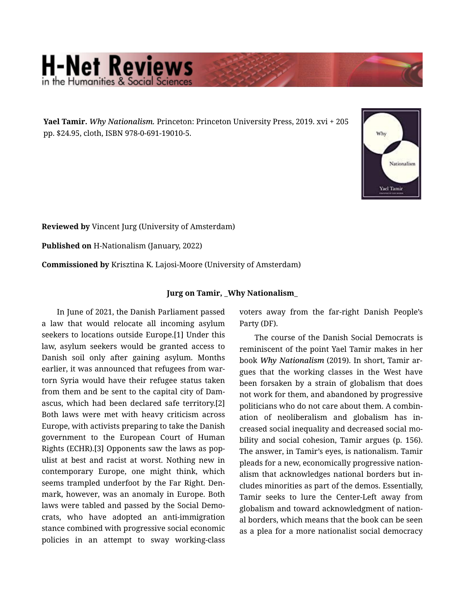## **H-Net Reviews**

Yael Tamir. *Why Nationalism.* Princeton: Princeton University Press, 2019. xvi + 205 pp. \$24.95, cloth, ISBN 978-0-691-19010-5.



Reviewed by Vincent Jurg (University of Amsterdam)

Published on H-Nationalism (January, 2022)

Commissioned by Krisztina K. Lajosi-Moore (University of Amsterdam)

## Jurg on Tamir, \_Why Nationalism\_

In June of 2021, the Danish Parliament passed a law that would relocate all incoming asylum seekers to locations outside Europe.[1] Under this law, asylum seekers would be granted access to Danish soil only after gaining asylum. Months earlier, it was announced that refugees from wartorn Syria would have their refugee status taken from them and be sent to the capital city of Dam‐ ascus, which had been declared safe territory.[2] Both laws were met with heavy criticism across Europe, with activists preparing to take the Danish government to the European Court of Human Rights (ECHR).[3] Opponents saw the laws as pop‐ ulist at best and racist at worst. Nothing new in contemporary Europe, one might think, which seems trampled underfoot by the Far Right. Den‐ mark, however, was an anomaly in Europe. Both laws were tabled and passed by the Social Demo‐ crats, who have adopted an anti-immigration stance combined with progressive social economic policies in an attempt to sway working-class

voters away from the far-right Danish People's Party (DF).

The course of the Danish Social Democrats is reminiscent of the point Yael Tamir makes in her book *Why Nationalism* (2019). In short, Tamir ar‐ gues that the working classes in the West have been forsaken by a strain of globalism that does not work for them, and abandoned by progressive politicians who do not care about them. A combin‐ ation of neoliberalism and globalism has in‐ creased social inequality and decreased social mo‐ bility and social cohesion, Tamir argues (p. 156). The answer, in Tamir's eyes, is nationalism. Tamir pleads for a new, economically progressive nation‐ alism that acknowledges national borders but in‐ cludes minorities as part of the demos. Essentially, Tamir seeks to lure the Center-Left away from globalism and toward acknowledgment of nation‐ al borders, which means that the book can be seen as a plea for a more nationalist social democracy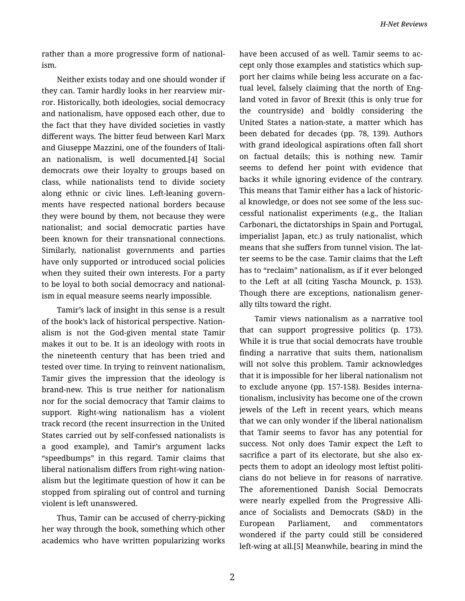rather than a more progressive form of national‐ ism.

Neither exists today and one should wonder if they can. Tamir hardly looks in her rearview mir‐ ror. Historically, both ideologies, social democracy and nationalism, have opposed each other, due to the fact that they have divided societies in vastly different ways. The bitter feud between Karl Marx and Giuseppe Mazzini, one of the founders of Itali‐ an nationalism, is well documented.[4] Social democrats owe their loyalty to groups based on class, while nationalists tend to divide society along ethnic or civic lines. Left-leaning govern‐ ments have respected national borders because they were bound by them, not because they were nationalist; and social democratic parties have been known for their transnational connections. Similarly, nationalist governments and parties have only supported or introduced social policies when they suited their own interests. For a party to be loyal to both social democracy and national‐ ism in equal measure seems nearly impossible.

Tamir's lack of insight in this sense is a result of the book's lack of historical perspective. Nation‐ alism is not the God-given mental state Tamir makes it out to be. It is an ideology with roots in the nineteenth century that has been tried and tested over time. In trying to reinvent nationalism, Tamir gives the impression that the ideology is brand-new. This is true neither for nationalism nor for the social democracy that Tamir claims to support. Right-wing nationalism has a violent track record (the recent insurrection in the United States carried out by self-confessed nationalists is a good example), and Tamir's argument lacks "speedbumps" in this regard. Tamir claims that liberal nationalism differs from right-wing nation‐ alism but the legitimate question of how it can be stopped from spiraling out of control and turning violent is left unanswered.

Thus, Tamir can be accused of cherry-picking her way through the book, something which other academics who have written popularizing works have been accused of as well. Tamir seems to ac‐ cept only those examples and statistics which sup‐ port her claims while being less accurate on a fac‐ tual level, falsely claiming that the north of Eng‐ land voted in favor of Brexit (this is only true for the countryside) and boldly considering the United States a nation-state, a matter which has been debated for decades (pp. 78, 139). Authors with grand ideological aspirations often fall short on factual details; this is nothing new. Tamir seems to defend her point with evidence that backs it while ignoring evidence of the contrary. This means that Tamir either has a lack of historic‐ al knowledge, or does not see some of the less suc‐ cessful nationalist experiments (e.g., the Italian Carbonari, the dictatorships in Spain and Portugal, imperialist Japan, etc.) as truly nationalist, which means that she suffers from tunnel vision. The lat‐ ter seems to be the case. Tamir claims that the Left has to "reclaim" nationalism, as if it ever belonged to the Left at all (citing Yascha Mounck, p. 153). Though there are exceptions, nationalism gener‐ ally tilts toward the right.

Tamir views nationalism as a narrative tool that can support progressive politics (p. 173). While it is true that social democrats have trouble finding a narrative that suits them, nationalism will not solve this problem. Tamir acknowledges that it is impossible for her liberal nationalism not to exclude anyone (pp. 157-158). Besides interna‐ tionalism, inclusivity has become one of the crown jewels of the Left in recent years, which means that we can only wonder if the liberal nationalism that Tamir seems to favor has any potential for success. Not only does Tamir expect the Left to sacrifice a part of its electorate, but she also expects them to adopt an ideology most leftist politi‐ cians do not believe in for reasons of narrative. The aforementioned Danish Social Democrats were nearly expelled from the Progressive Alliance of Socialists and Democrats (S&D) in the European Parliament, and commentators wondered if the party could still be considered left-wing at all.[5] Meanwhile, bearing in mind the

2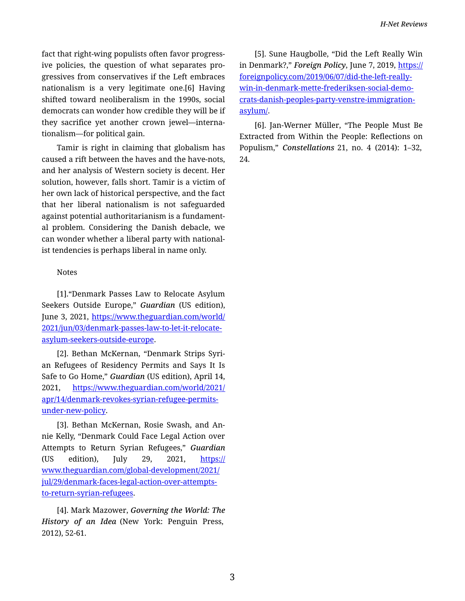fact that right-wing populists often favor progress‐ ive policies, the question of what separates pro‐ gressives from conservatives if the Left embraces nationalism is a very legitimate one.[6] Having shifted toward neoliberalism in the 1990s, social democrats can wonder how credible they will be if they sacrifice yet another crown jewel—interna‐ tionalism—for political gain.

Tamir is right in claiming that globalism has caused a rift between the haves and the have-nots, and her analysis of Western society is decent. Her solution, however, falls short. Tamir is a victim of her own lack of historical perspective, and the fact that her liberal nationalism is not safeguarded against potential authoritarianism is a fundament‐ al problem. Considering the Danish debacle, we can wonder whether a liberal party with national‐ ist tendencies is perhaps liberal in name only.

## Notes

[1]."Denmark Passes Law to Relocate Asylum Seekers Outside Europe," *Guardian* (US edition), June 3, 2021, [https://www.theguardian.com/world/](https://www.theguardian.com/world/2021/jun/03/denmark-passes-law-to-let-it-relocate-asylum-seekers-outside-europe) [2021/jun/03/denmark-passes-law-to-let-it-relocate](https://www.theguardian.com/world/2021/jun/03/denmark-passes-law-to-let-it-relocate-asylum-seekers-outside-europe)[asylum-seekers-outside-europe.](https://www.theguardian.com/world/2021/jun/03/denmark-passes-law-to-let-it-relocate-asylum-seekers-outside-europe)

[2]. Bethan McKernan, "Denmark Strips Syri‐ an Refugees of Residency Permits and Says It Is Safe to Go Home," *Guardian* (US edition), April 14, 2021, [https://www.theguardian.com/world/2021/](https://www.theguardian.com/world/2021/apr/14/denmark-revokes-syrian-refugee-permits-under-new-policy) [apr/14/denmark-revokes-syrian-refugee-permits](https://www.theguardian.com/world/2021/apr/14/denmark-revokes-syrian-refugee-permits-under-new-policy)[under-new-policy](https://www.theguardian.com/world/2021/apr/14/denmark-revokes-syrian-refugee-permits-under-new-policy).

[3]. Bethan McKernan, Rosie Swash, and An‐ nie Kelly, "Denmark Could Face Legal Action over Attempts to Return Syrian Refugees," *Guardian*  (US edition), July 29, 2021, [https://](https://www.theguardian.com/global-development/2021/jul/29/denmark-faces-legal-action-over-attempts-to-return-syrian-refugees) [www.theguardian.com/global-development/2021/](https://www.theguardian.com/global-development/2021/jul/29/denmark-faces-legal-action-over-attempts-to-return-syrian-refugees) [jul/29/denmark-faces-legal-action-over-attempts](https://www.theguardian.com/global-development/2021/jul/29/denmark-faces-legal-action-over-attempts-to-return-syrian-refugees)[to-return-syrian-refugees](https://www.theguardian.com/global-development/2021/jul/29/denmark-faces-legal-action-over-attempts-to-return-syrian-refugees).

[4]. Mark Mazower, *Governing the World: The History of an Idea* (New York: Penguin Press, 2012), 52-61.

[5]. Sune Haugbolle, "Did the Left Really Win in Denmark?," *Foreign Policy*, June 7, 2019, [https://](https://foreignpolicy.com/2019/06/07/did-the-left-really-win-in-denmark-mette-frederiksen-social-democrats-danish-peoples-party-venstre-immigration-asylum/) [foreignpolicy.com/2019/06/07/did-the-left-really](https://foreignpolicy.com/2019/06/07/did-the-left-really-win-in-denmark-mette-frederiksen-social-democrats-danish-peoples-party-venstre-immigration-asylum/)[win-in-denmark-mette-frederiksen-social-demo‐](https://foreignpolicy.com/2019/06/07/did-the-left-really-win-in-denmark-mette-frederiksen-social-democrats-danish-peoples-party-venstre-immigration-asylum/) [crats-danish-peoples-party-venstre-immigration](https://foreignpolicy.com/2019/06/07/did-the-left-really-win-in-denmark-mette-frederiksen-social-democrats-danish-peoples-party-venstre-immigration-asylum/)[asylum/.](https://foreignpolicy.com/2019/06/07/did-the-left-really-win-in-denmark-mette-frederiksen-social-democrats-danish-peoples-party-venstre-immigration-asylum/)

[6]. Jan-Werner Müller, "The People Must Be Extracted from Within the People: Reflections on Populism," *Constellations* 21, no. 4 (2014): 1–32, 24.